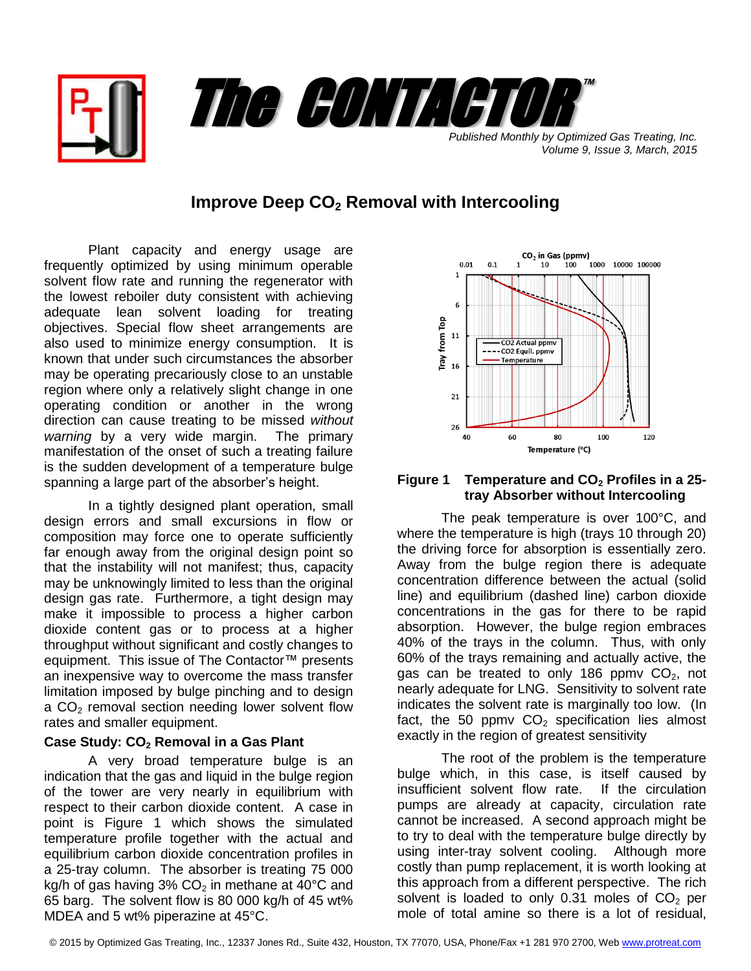

*Published Monthly by Optimized Gas Treating, Inc. Volume 9, Issue 3, March, 2015*

# **Improve Deep CO<sup>2</sup> Removal with Intercooling**

Plant capacity and energy usage are frequently optimized by using minimum operable solvent flow rate and running the regenerator with the lowest reboiler duty consistent with achieving adequate lean solvent loading for treating objectives. Special flow sheet arrangements are also used to minimize energy consumption. It is known that under such circumstances the absorber may be operating precariously close to an unstable region where only a relatively slight change in one operating condition or another in the wrong direction can cause treating to be missed *without warning* by a very wide margin. The primary manifestation of the onset of such a treating failure is the sudden development of a temperature bulge spanning a large part of the absorber's height.

In a tightly designed plant operation, small design errors and small excursions in flow or composition may force one to operate sufficiently far enough away from the original design point so that the instability will not manifest; thus, capacity may be unknowingly limited to less than the original design gas rate. Furthermore, a tight design may make it impossible to process a higher carbon dioxide content gas or to process at a higher throughput without significant and costly changes to equipment. This issue of The Contactor™ presents an inexpensive way to overcome the mass transfer limitation imposed by bulge pinching and to design a CO<sub>2</sub> removal section needing lower solvent flow rates and smaller equipment.

## **Case Study: CO<sup>2</sup> Removal in a Gas Plant**

A very broad temperature bulge is an indication that the gas and liquid in the bulge region of the tower are very nearly in equilibrium with respect to their carbon dioxide content. A case in point is Figure 1 which shows the simulated temperature profile together with the actual and equilibrium carbon dioxide concentration profiles in a 25-tray column. The absorber is treating 75 000 kg/h of gas having  $3\%$  CO<sub>2</sub> in methane at  $40^{\circ}$ C and 65 barg. The solvent flow is 80 000 kg/h of 45 wt% MDEA and 5 wt% piperazine at 45°C.



### **Figure 1 Temperature and CO<sup>2</sup> Profiles in a 25 tray Absorber without Intercooling**

The peak temperature is over 100°C, and where the temperature is high (trays 10 through 20) the driving force for absorption is essentially zero. Away from the bulge region there is adequate concentration difference between the actual (solid line) and equilibrium (dashed line) carbon dioxide concentrations in the gas for there to be rapid absorption. However, the bulge region embraces 40% of the trays in the column. Thus, with only 60% of the trays remaining and actually active, the gas can be treated to only 186 ppmv  $CO<sub>2</sub>$ , not nearly adequate for LNG. Sensitivity to solvent rate indicates the solvent rate is marginally too low. (In fact, the 50 ppmv  $CO<sub>2</sub>$  specification lies almost exactly in the region of greatest sensitivity

The root of the problem is the temperature bulge which, in this case, is itself caused by insufficient solvent flow rate. If the circulation pumps are already at capacity, circulation rate cannot be increased. A second approach might be to try to deal with the temperature bulge directly by using inter-tray solvent cooling. Although more costly than pump replacement, it is worth looking at this approach from a different perspective. The rich solvent is loaded to only 0.31 moles of  $CO<sub>2</sub>$  per mole of total amine so there is a lot of residual,